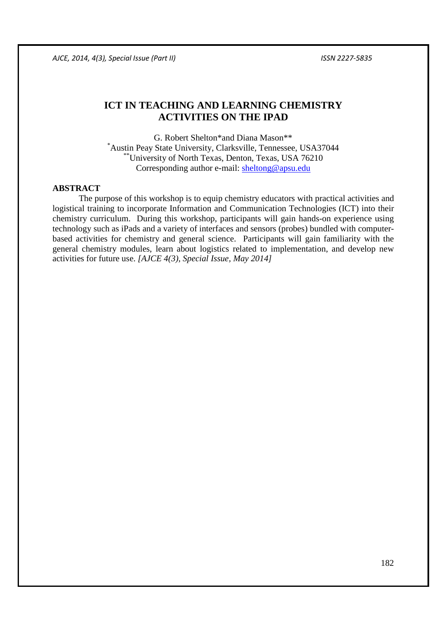# **ICT IN TEACHING AND LEARNING CHEMISTRY ACTIVITIES ON THE IPAD**

G. Robert Shelton\*and Diana Mason\*\* \*Austin Peay State University, Clarksville, Tennessee, USA37044 \*\*University of North Texas, Denton, Texas, USA 76210 Corresponding author e-mail: sheltong@apsu.edu

## **ABSTRACT**

The purpose of this workshop is to equip chemistry educators with practical activities and logistical training to incorporate Information and Communication Technologies (ICT) into their chemistry curriculum. During this workshop, participants will gain hands-on experience using technology such as iPads and a variety of interfaces and sensors (probes) bundled with computerbased activities for chemistry and general science. Participants will gain familiarity with the general chemistry modules, learn about logistics related to implementation, and develop new activities for future use. *[AJCE 4(3), Special Issue, May 2014]*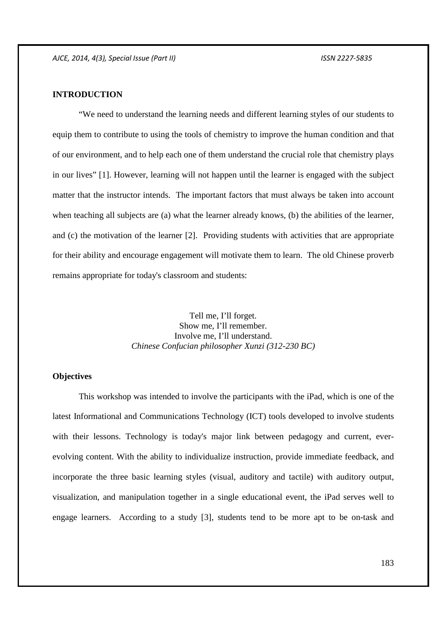## **INTRODUCTION**

 "We need to understand the learning needs and different learning styles of our students to equip them to contribute to using the tools of chemistry to improve the human condition and that of our environment, and to help each one of them understand the crucial role that chemistry plays in our lives" [1]. However, learning will not happen until the learner is engaged with the subject matter that the instructor intends. The important factors that must always be taken into account when teaching all subjects are (a) what the learner already knows, (b) the abilities of the learner, and (c) the motivation of the learner [2]. Providing students with activities that are appropriate for their ability and encourage engagement will motivate them to learn. The old Chinese proverb remains appropriate for today's classroom and students:

> Tell me, I'll forget. Show me, I'll remember. Involve me, I'll understand. *Chinese Confucian philosopher Xunzi (312-230 BC)*

#### **Objectives**

This workshop was intended to involve the participants with the iPad, which is one of the latest Informational and Communications Technology (ICT) tools developed to involve students with their lessons. Technology is today's major link between pedagogy and current, everevolving content. With the ability to individualize instruction, provide immediate feedback, and incorporate the three basic learning styles (visual, auditory and tactile) with auditory output, visualization, and manipulation together in a single educational event, the iPad serves well to engage learners. According to a study [3], students tend to be more apt to be on-task and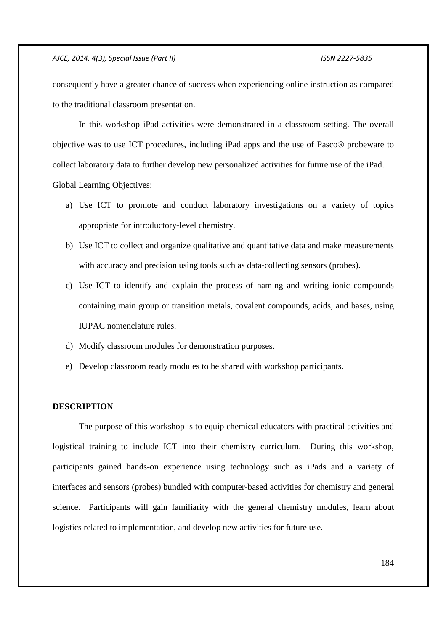consequently have a greater chance of success when experiencing online instruction as compared to the traditional classroom presentation.

In this workshop iPad activities were demonstrated in a classroom setting. The overall objective was to use ICT procedures, including iPad apps and the use of Pasco® probeware to collect laboratory data to further develop new personalized activities for future use of the iPad. Global Learning Objectives:

- a) Use ICT to promote and conduct laboratory investigations on a variety of topics appropriate for introductory-level chemistry.
- b) Use ICT to collect and organize qualitative and quantitative data and make measurements with accuracy and precision using tools such as data-collecting sensors (probes).
- c) Use ICT to identify and explain the process of naming and writing ionic compounds containing main group or transition metals, covalent compounds, acids, and bases, using IUPAC nomenclature rules.
- d) Modify classroom modules for demonstration purposes.
- e) Develop classroom ready modules to be shared with workshop participants.

### **DESCRIPTION**

The purpose of this workshop is to equip chemical educators with practical activities and logistical training to include ICT into their chemistry curriculum. During this workshop, participants gained hands-on experience using technology such as iPads and a variety of interfaces and sensors (probes) bundled with computer-based activities for chemistry and general science. Participants will gain familiarity with the general chemistry modules, learn about logistics related to implementation, and develop new activities for future use.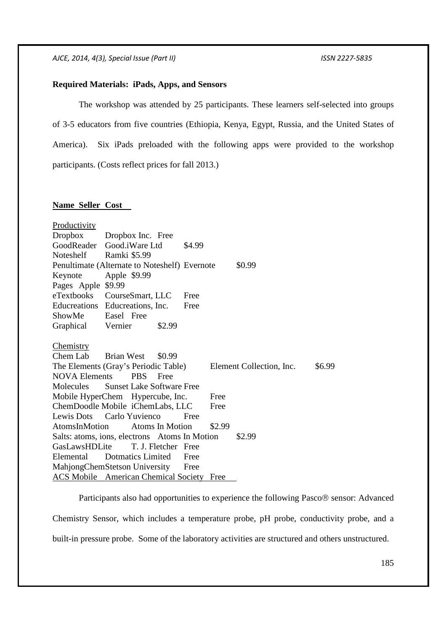#### **Required Materials: iPads, Apps, and Sensors**

 The workshop was attended by 25 participants. These learners self-selected into groups of 3-5 educators from five countries (Ethiopia, Kenya, Egypt, Russia, and the United States of America). Six iPads preloaded with the following apps were provided to the workshop participants. (Costs reflect prices for fall 2013.)

## **Name Seller Cost**

| <b>Productivity</b>                                     |                                                  |                                    |  |
|---------------------------------------------------------|--------------------------------------------------|------------------------------------|--|
| <b>Dropbox</b>                                          | Dropbox Inc. Free                                |                                    |  |
|                                                         | GoodReader Good.iWare Ltd<br>\$4.99              |                                    |  |
| Noteshelf                                               | Ramki \$5.99                                     |                                    |  |
|                                                         | Penultimate (Alternate to Noteshelf) Evernote    | \$0.99                             |  |
| Keynote                                                 | Apple \$9.99                                     |                                    |  |
| Pages Apple \$9.99                                      |                                                  |                                    |  |
| eTextbooks                                              | CourseSmart, LLC<br>Free                         |                                    |  |
|                                                         | Educreations Educreations, Inc.<br>Free          |                                    |  |
| ShowMe Easel Free                                       |                                                  |                                    |  |
| Graphical Vernier                                       | \$2.99                                           |                                    |  |
|                                                         |                                                  |                                    |  |
| Chemistry                                               |                                                  |                                    |  |
| Chem Lab Brian West                                     | \$0.99                                           |                                    |  |
|                                                         | The Elements (Gray's Periodic Table)             | Element Collection, Inc.<br>\$6.99 |  |
| <b>NOVA Elements</b>                                    | <b>PBS</b><br>Free                               |                                    |  |
| Molecules                                               | <b>Sunset Lake Software Free</b>                 |                                    |  |
|                                                         | Mobile HyperChem Hypercube, Inc.<br>Free         |                                    |  |
|                                                         | ChemDoodle Mobile iChemLabs, LLC<br>Free         |                                    |  |
|                                                         | Lewis Dots Carlo Yuvienco<br>Free                |                                    |  |
| AtomsInMotion                                           | <b>Atoms In Motion</b><br>\$2.99                 |                                    |  |
| \$2.99<br>Salts: atoms, ions, electrons Atoms In Motion |                                                  |                                    |  |
| GasLawsHDLite                                           | T. J. Fletcher Free                              |                                    |  |
| Elemental                                               | Dotmatics Limited<br>Free                        |                                    |  |
| MahjongChemStetson University<br>Free                   |                                                  |                                    |  |
|                                                         | <b>ACS Mobile</b> American Chemical Society Free |                                    |  |

Participants also had opportunities to experience the following Pasco<sup>®</sup> sensor: Advanced Chemistry Sensor, which includes a temperature probe, pH probe, conductivity probe, and a built-in pressure probe. Some of the laboratory activities are structured and others unstructured.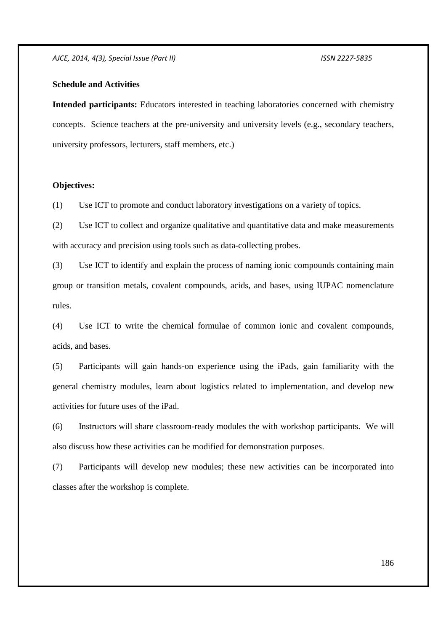#### **Schedule and Activities**

**Intended participants:** Educators interested in teaching laboratories concerned with chemistry concepts. Science teachers at the pre-university and university levels (e.g., secondary teachers, university professors, lecturers, staff members, etc.)

#### **Objectives:**

(1) Use ICT to promote and conduct laboratory investigations on a variety of topics.

(2) Use ICT to collect and organize qualitative and quantitative data and make measurements with accuracy and precision using tools such as data-collecting probes.

(3) Use ICT to identify and explain the process of naming ionic compounds containing main group or transition metals, covalent compounds, acids, and bases, using IUPAC nomenclature rules.

(4) Use ICT to write the chemical formulae of common ionic and covalent compounds, acids, and bases.

(5) Participants will gain hands-on experience using the iPads, gain familiarity with the general chemistry modules, learn about logistics related to implementation, and develop new activities for future uses of the iPad.

(6) Instructors will share classroom-ready modules the with workshop participants. We will also discuss how these activities can be modified for demonstration purposes.

(7) Participants will develop new modules; these new activities can be incorporated into classes after the workshop is complete.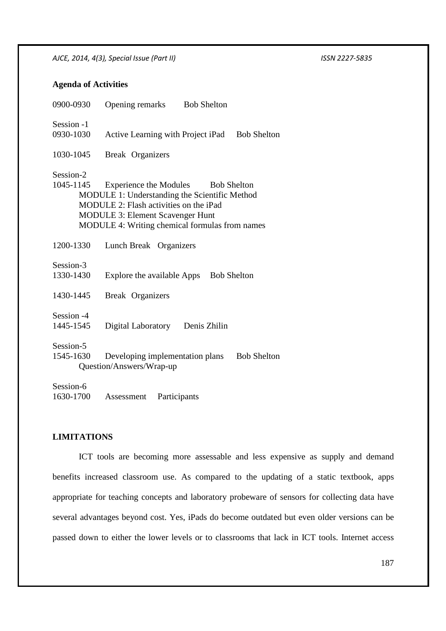## **Agenda of Activities**

| 0900-0930  | Opening remarks<br><b>Bob Shelton</b>                   |
|------------|---------------------------------------------------------|
| Session -1 |                                                         |
| 0930-1030  | Active Learning with Project iPad<br><b>Bob Shelton</b> |
| 1030-1045  | <b>Break</b> Organizers                                 |
| Session-2  |                                                         |
| 1045-1145  | Experience the Modules Bob Shelton                      |
|            | MODULE 1: Understanding the Scientific Method           |
|            | MODULE 2: Flash activities on the iPad                  |
|            | <b>MODULE 3: Element Scavenger Hunt</b>                 |
|            | MODULE 4: Writing chemical formulas from names          |
|            |                                                         |
| 1200-1330  | Lunch Break Organizers                                  |
| Session-3  |                                                         |
| 1330-1430  | Explore the available Apps<br><b>Bob Shelton</b>        |
|            |                                                         |
| 1430-1445  | <b>Break</b> Organizers                                 |
| Session -4 |                                                         |
| 1445-1545  | Digital Laboratory Denis Zhilin                         |
|            |                                                         |
| Session-5  |                                                         |
| 1545-1630  | Developing implementation plans<br><b>Bob Shelton</b>   |
|            | Question/Answers/Wrap-up                                |
| Session-6  |                                                         |
| 1630-1700  | Participants<br>Assessment                              |
|            |                                                         |

## **LIMITATIONS**

 ICT tools are becoming more assessable and less expensive as supply and demand benefits increased classroom use. As compared to the updating of a static textbook, apps appropriate for teaching concepts and laboratory probeware of sensors for collecting data have several advantages beyond cost. Yes, iPads do become outdated but even older versions can be passed down to either the lower levels or to classrooms that lack in ICT tools. Internet access